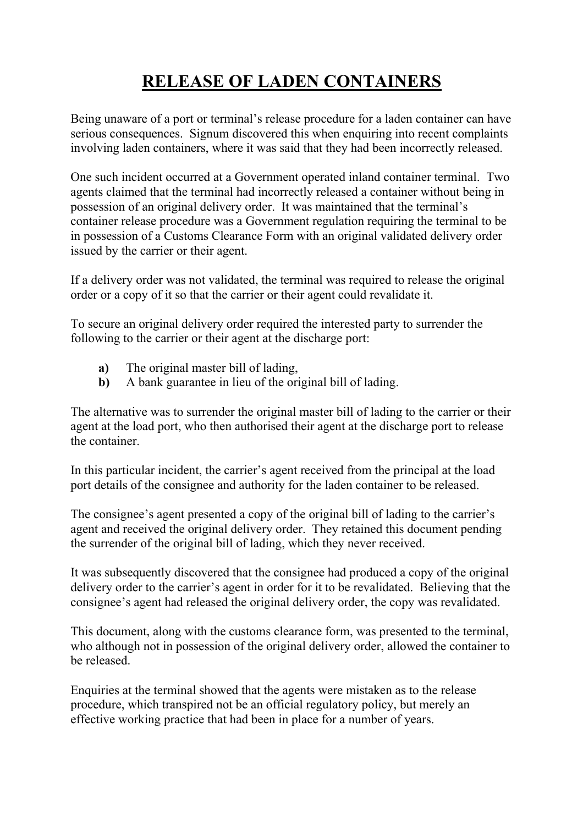## **RELEASE OF LADEN CONTAINERS**

Being unaware of a port or terminal's release procedure for a laden container can have serious consequences. Signum discovered this when enquiring into recent complaints involving laden containers, where it was said that they had been incorrectly released.

One such incident occurred at a Government operated inland container terminal. Two agents claimed that the terminal had incorrectly released a container without being in possession of an original delivery order. It was maintained that the terminal's container release procedure was a Government regulation requiring the terminal to be in possession of a Customs Clearance Form with an original validated delivery order issued by the carrier or their agent.

If a delivery order was not validated, the terminal was required to release the original order or a copy of it so that the carrier or their agent could revalidate it.

To secure an original delivery order required the interested party to surrender the following to the carrier or their agent at the discharge port:

- **a)** The original master bill of lading,
- **b)** A bank guarantee in lieu of the original bill of lading.

The alternative was to surrender the original master bill of lading to the carrier or their agent at the load port, who then authorised their agent at the discharge port to release the container.

In this particular incident, the carrier's agent received from the principal at the load port details of the consignee and authority for the laden container to be released.

The consignee's agent presented a copy of the original bill of lading to the carrier's agent and received the original delivery order. They retained this document pending the surrender of the original bill of lading, which they never received.

It was subsequently discovered that the consignee had produced a copy of the original delivery order to the carrier's agent in order for it to be revalidated. Believing that the consignee's agent had released the original delivery order, the copy was revalidated.

This document, along with the customs clearance form, was presented to the terminal, who although not in possession of the original delivery order, allowed the container to be released.

Enquiries at the terminal showed that the agents were mistaken as to the release procedure, which transpired not be an official regulatory policy, but merely an effective working practice that had been in place for a number of years.